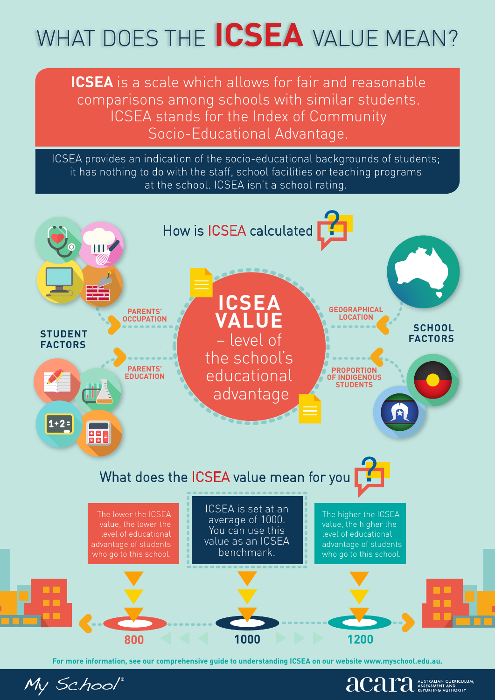# WHAT DOES THE **ICSEA** VALUE MEAN?

**ICSEA** is a scale which allows for fair and reasonable comparisons among schools with similar students. ICSEA stands for the Index of Community Socio-Educational Advantage.

ICSEA provides an indication of the socio-educational backgrounds of students; it has nothing to do with the staff, school facilities or teaching programs at the school. ICSEA isn't a school rating.



**For more information, see our comprehensive guide to understanding ICSEA on our website www.myschool.edu.au.**

**algriculum** 

My School®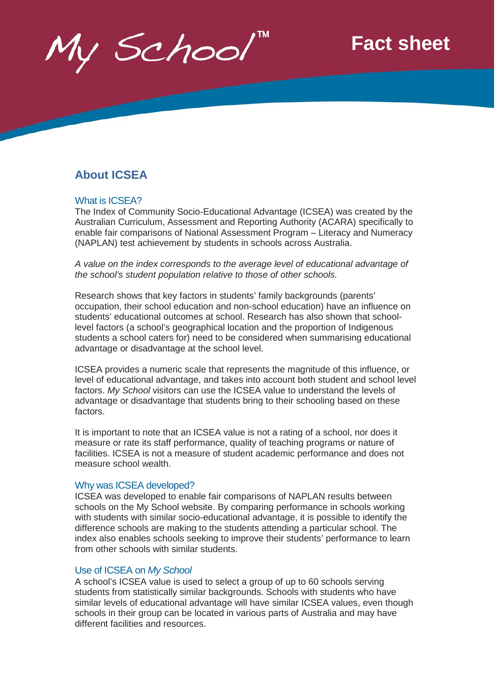My School

## **Fact sheet**

### **About ICSEA**

#### What is ICSEA?

The Index of Community Socio-Educational Advantage (ICSEA) was created by the Australian Curriculum, Assessment and Reporting Authority (ACARA) specifically to enable fair comparisons of National Assessment Program – Literacy and Numeracy (NAPLAN) test achievement by students in schools across Australia.

*A value on the index corresponds to the average level of educational advantage of the school's student population relative to those of other schools.*

Research shows that key factors in students' family backgrounds (parents' occupation, their school education and non-school education) have an influence on students' educational outcomes at school. Research has also shown that schoollevel factors (a school's geographical location and the proportion of Indigenous students a school caters for) need to be considered when summarising educational advantage or disadvantage at the school level.

ICSEA provides a numeric scale that represents the magnitude of this influence, or level of educational advantage, and takes into account both student and school level factors. *My School* visitors can use the ICSEA value to understand the levels of advantage or disadvantage that students bring to their schooling based on these factors.

It is important to note that an ICSEA value is not a rating of a school, nor does it measure or rate its staff performance, quality of teaching programs or nature of facilities. ICSEA is not a measure of student academic performance and does not measure school wealth.

#### Why was ICSEA developed?

ICSEA was developed to enable fair comparisons of NAPLAN results between schools on the My School website. By comparing performance in schools working with students with similar socio-educational advantage, it is possible to identify the difference schools are making to the students attending a particular school. The index also enables schools seeking to improve their students' performance to learn from other schools with similar students.

#### Use of ICSEA on *My School*

A school's ICSEA value is used to select a group of up to 60 schools serving students from statistically similar backgrounds. Schools with students who have similar levels of educational advantage will have similar ICSEA values, even though schools in their group can be located in various parts of Australia and may have different facilities and resources.